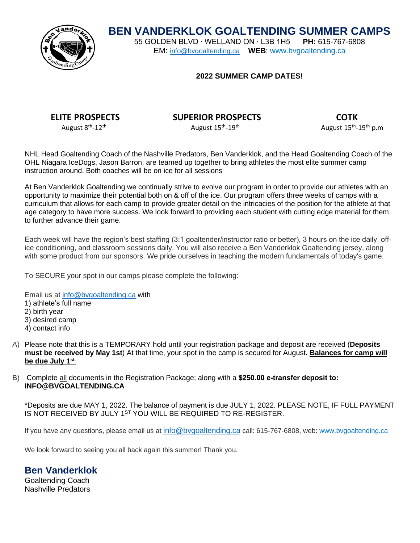# **BEN VANDERKLOK GOALTENDING SUMMER CAMPS**<br>55 GOLDEN BLVD · WELLAND ON · L3B 1H5 **PH:** 615-767-6808

55 GOLDEN BLVD ∙ WELLAND ON ∙ L3B 1H5 **PH:** 615-767-6808 EM: [info@bvgoaltending.ca](mailto:info@bvgoaltending.ca) **WEB**: [www.bvgoaltending.ca](http://www.bvgoaltending.ca/)

#### **2022 SUMMER CAMP DATES!**



### **ELITE PROSPECTS SUPERIOR PROSPECTS COTK**

 $-19^{\text{th}}$  P.m

August 8<sup>th</sup>-12<sup>th</sup>

August 15<sup>th</sup>-19<sup>th</sup>

NHL Head Goaltending Coach of the Nashville Predators, Ben Vanderklok, and the Head Goaltending Coach of the OHL Niagara IceDogs, Jason Barron, are teamed up together to bring athletes the most elite summer camp instruction around. Both coaches will be on ice for all sessions

At Ben Vanderklok Goaltending we continually strive to evolve our program in order to provide our athletes with an opportunity to maximize their potential both on & off of the ice. Our program offers three weeks of camps with a curriculum that allows for each camp to provide greater detail on the intricacies of the position for the athlete at that age category to have more success. We look forward to providing each student with cutting edge material for them to further advance their game.

Each week will have the region's best staffing (3:1 goaltender/instructor ratio or better), 3 hours on the ice daily, office conditioning, and classroom sessions daily. You will also receive a Ben Vanderklok Goaltending jersey, along with some product from our sponsors. We pride ourselves in teaching the modern fundamentals of today's game.

To SECURE your spot in our camps please complete the following:

Email us at [info@bvgoaltending.ca](mailto:info@bvgoaltending.ca) with 1) athlete's full name 2) birth year 3) desired camp 4) contact info

- A) Please note that this is a TEMPORARY hold until your registration package and deposit are received (**Deposits must be received by May 1st**) At that time, your spot in the camp is secured for August**. Balances for camp will be due July 1 st.**
- B) Complete all documents in the Registration Package; along with a **\$250.00 e-transfer deposit to: INFO@BVGOALTENDING.CA**

\*Deposits are due MAY 1, 2022. The balance of payment is due JULY 1, 2022. PLEASE NOTE, IF FULL PAYMENT IS NOT RECEIVED BY JULY 1<sup>st</sup> YOU WILL BE REQUIRED TO RE-REGISTER.

If you have any questions, please email us at [info@bvgoaltending.ca](mailto:info@bvgoaltending.ca) call: 615-767-6808, web: [www.bvgoaltending.ca](http://www.bvgoaltending.ca/)

We look forward to seeing you all back again this summer! Thank you.

**Ben Vanderklok**

Goaltending Coach Nashville Predators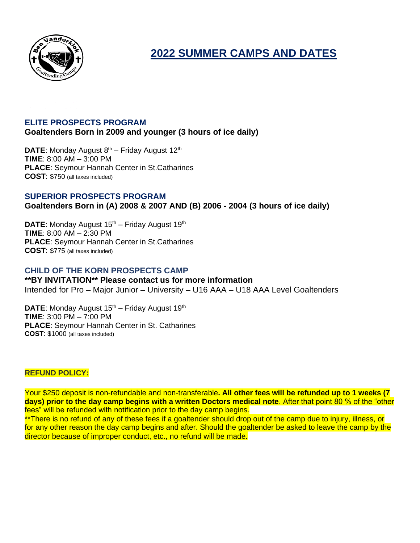

**2022 SUMMER CAMPS AND DATES**

### **ELITE PROSPECTS PROGRAM**

**Goaltenders Born in 2009 and younger (3 hours of ice daily)** 

**DATE:** Monday August 8<sup>th</sup> – Friday August 12<sup>th</sup> **TIME**: 8:00 AM – 3:00 PM **PLACE**: Seymour Hannah Center in St.Catharines **COST**: \$750 (all taxes included)

### **SUPERIOR PROSPECTS PROGRAM Goaltenders Born in (A) 2008 & 2007 AND (B) 2006 - 2004 (3 hours of ice daily)**

DATE: Monday August 15<sup>th</sup> – Friday August 19<sup>th</sup> **TIME**: 8:00 AM – 2:30 PM **PLACE**: Seymour Hannah Center in St.Catharines **COST**: \$775 (all taxes included)

### **CHILD OF THE KORN PROSPECTS CAMP**

**\*\*BY INVITATION\*\* Please contact us for more information** Intended for Pro – Major Junior – University – U16 AAA – U18 AAA Level Goaltenders

DATE: Monday August 15<sup>th</sup> – Friday August 19<sup>th</sup> **TIME**: 3:00 PM – 7:00 PM **PLACE**: Seymour Hannah Center in St. Catharines **COST**: \$1000 (all taxes included)

#### **REFUND POLICY:**

Your \$250 deposit is non-refundable and non-transferable**. All other fees will be refunded up to 1 weeks (7 days) prior to the day camp begins with a written Doctors medical note**. After that point 80 % of the "other fees" will be refunded with notification prior to the day camp begins.

\*\*There is no refund of any of these fees if a goaltender should drop out of the camp due to injury, illness, or for any other reason the day camp begins and after. Should the goaltender be asked to leave the camp by the director because of improper conduct, etc., no refund will be made.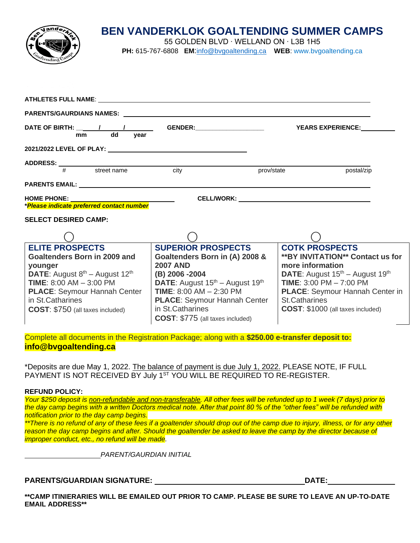

# **BEN VANDERKLOK GOALTENDING SUMMER CAMPS**

55 GOLDEN BLVD ∙ WELLAND ON ∙ L3B 1H5

**PH:** 615-767-6808 **EM**:[info@bvgoaltending.ca](mailto:info@bvgoaltending.ca) **WEB**: [www.bvgoaltending.ca](http://www.bvgoaltending.ca/)

| ATHLETES FULL NAME: The contract of the contract of the contract of the contract of the contract of the contract of the contract of the contract of the contract of the contract of the contract of the contract of the contra |                                                         |                                                                             |  |  |
|--------------------------------------------------------------------------------------------------------------------------------------------------------------------------------------------------------------------------------|---------------------------------------------------------|-----------------------------------------------------------------------------|--|--|
|                                                                                                                                                                                                                                |                                                         |                                                                             |  |  |
| dd<br>year<br>mm                                                                                                                                                                                                               |                                                         | <b>YEARS EXPERIENCE:</b>                                                    |  |  |
| 2021/2022 LEVEL OF PLAY: 2021/2022 LEVEL OF PLAY:                                                                                                                                                                              |                                                         |                                                                             |  |  |
| $ADDRESS:$ $\frac{4}{\#}$ street name city                                                                                                                                                                                     |                                                         |                                                                             |  |  |
|                                                                                                                                                                                                                                | prov/state                                              | postal/zip                                                                  |  |  |
|                                                                                                                                                                                                                                |                                                         |                                                                             |  |  |
|                                                                                                                                                                                                                                |                                                         |                                                                             |  |  |
|                                                                                                                                                                                                                                |                                                         |                                                                             |  |  |
| <b>SELECT DESIRED CAMP:</b>                                                                                                                                                                                                    |                                                         |                                                                             |  |  |
|                                                                                                                                                                                                                                |                                                         |                                                                             |  |  |
| <b>ELITE PROSPECTS</b>                                                                                                                                                                                                         | <b>SUPERIOR PROSPECTS</b>                               | <b>COTK PROSPECTS</b>                                                       |  |  |
| Goaltenders Born in 2009 and                                                                                                                                                                                                   | Goaltenders Born in (A) 2008 &                          | <b>**BY INVITATION** Contact us for</b>                                     |  |  |
| younger<br>DATE: August 8th - August 12th                                                                                                                                                                                      | <b>2007 AND</b><br>(B) 2006 -2004                       | more information<br>DATE: August 15 <sup>th</sup> - August 19 <sup>th</sup> |  |  |
| <b>TIME: 8:00 AM - 3:00 PM</b>                                                                                                                                                                                                 | DATE: August 15 <sup>th</sup> - August 19 <sup>th</sup> | TIME: $3:00$ PM $- 7:00$ PM                                                 |  |  |
| <b>PLACE: Seymour Hannah Center</b>                                                                                                                                                                                            | <b>TIME:</b> $8:00$ AM $- 2:30$ PM                      | <b>PLACE:</b> Seymour Hannah Center in                                      |  |  |
| in St.Catharines                                                                                                                                                                                                               | PLACE: Seymour Hannah Center                            | <b>St.Catharines</b>                                                        |  |  |
| <b>COST:</b> \$750 (all taxes included)                                                                                                                                                                                        | in St. Catharines                                       | COST: \$1000 (all taxes included)                                           |  |  |
|                                                                                                                                                                                                                                | COST: \$775 (all taxes included)                        |                                                                             |  |  |

Complete all documents in the Registration Package; along with a **\$250.00 e-transfer deposit to: info@bvgoaltending.ca** 

\*Deposits are due May 1, 2022. The balance of payment is due July 1, 2022. PLEASE NOTE, IF FULL PAYMENT IS NOT RECEIVED BY July 1<sup>st</sup> YOU WILL BE REQUIRED TO RE-REGISTER.

#### **REFUND POLICY:**

*Your \$250 deposit is non-refundable and non-transferable. All other fees will be refunded up to 1 week (7 days) prior to the day camp begins with a written Doctors medical note. After that point 80 % of the "other fees" will be refunded with notification prior to the day camp begins.* 

*\*\*There is no refund of any of these fees if a goaltender should drop out of the camp due to injury, illness, or for any other reason the day camp begins and after. Should the goaltender be asked to leave the camp by the director because of improper conduct, etc., no refund will be made.* 

*PARENT/GAURDIAN INITIAL*

#### **PARENTS/GUARDIAN SIGNATURE: DATE:**

**\*\*CAMP ITINIERARIES WILL BE EMAILED OUT PRIOR TO CAMP. PLEASE BE SURE TO LEAVE AN UP-TO-DATE EMAIL ADDRESS\*\***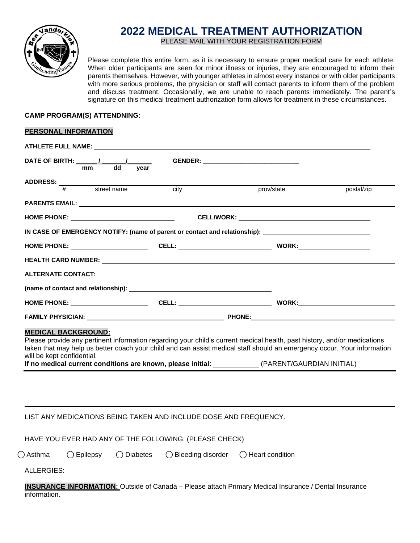

# **2022 MEDICAL TREATMENT AUTHORIZATION**

PLEASE MAIL WITH YOUR REGISTRATION FORM

Please complete this entire form, as it is necessary to ensure proper medical care for each athlete. When older participants are seen for minor illness or injuries, they are encouraged to inform their parents themselves. However, with younger athletes in almost every instance or with older participants with more serious problems, the physician or staff will contact parents to inform them of the problem and discuss treatment. Occasionally, we are unable to reach parents immediately. The parent's signature on this medical treatment authorization form allows for treatment in these circumstances.

## **CAMP PROGRAM(S) ATTENDNING**:

#### **PERSONAL INFORMATION**

|                                                          |                     |            |                                                                  | GENDER: _________________________________ |                                                                                                                                                                                                                                                                                                                                                          |
|----------------------------------------------------------|---------------------|------------|------------------------------------------------------------------|-------------------------------------------|----------------------------------------------------------------------------------------------------------------------------------------------------------------------------------------------------------------------------------------------------------------------------------------------------------------------------------------------------------|
|                                                          |                     |            |                                                                  |                                           |                                                                                                                                                                                                                                                                                                                                                          |
| ADDRESS: $\frac{4}{\frac{4}{100}}$ street name city      |                     |            |                                                                  | prov/state                                | postal/zip                                                                                                                                                                                                                                                                                                                                               |
|                                                          |                     |            |                                                                  |                                           |                                                                                                                                                                                                                                                                                                                                                          |
|                                                          |                     |            |                                                                  |                                           |                                                                                                                                                                                                                                                                                                                                                          |
|                                                          |                     |            |                                                                  |                                           |                                                                                                                                                                                                                                                                                                                                                          |
|                                                          |                     |            |                                                                  |                                           | IN CASE OF EMERGENCY NOTIFY: (name of parent or contact and relationship): __________________________________                                                                                                                                                                                                                                            |
|                                                          |                     |            |                                                                  |                                           |                                                                                                                                                                                                                                                                                                                                                          |
|                                                          |                     |            |                                                                  |                                           |                                                                                                                                                                                                                                                                                                                                                          |
| <b>ALTERNATE CONTACT:</b>                                |                     |            |                                                                  |                                           |                                                                                                                                                                                                                                                                                                                                                          |
|                                                          |                     |            |                                                                  |                                           |                                                                                                                                                                                                                                                                                                                                                          |
|                                                          |                     |            |                                                                  |                                           |                                                                                                                                                                                                                                                                                                                                                          |
|                                                          |                     |            |                                                                  |                                           |                                                                                                                                                                                                                                                                                                                                                          |
|                                                          |                     |            |                                                                  |                                           |                                                                                                                                                                                                                                                                                                                                                          |
|                                                          |                     |            |                                                                  |                                           | FAMILY PHYSICIAN: PHONE: PHONE: PHONE:                                                                                                                                                                                                                                                                                                                   |
|                                                          |                     |            |                                                                  |                                           | Please provide any pertinent information regarding your child's current medical health, past history, and/or medications<br>taken that may help us better coach your child and can assist medical staff should an emergency occur. Your information<br>If no medical current conditions are known, please initial: ___________ (PARENT/GAURDIAN INITIAL) |
| <b>MEDICAL BACKGROUND:</b><br>will be kept confidential. |                     |            |                                                                  |                                           |                                                                                                                                                                                                                                                                                                                                                          |
|                                                          |                     |            | LIST ANY MEDICATIONS BEING TAKEN AND INCLUDE DOSE AND FREQUENCY. |                                           |                                                                                                                                                                                                                                                                                                                                                          |
|                                                          |                     |            | HAVE YOU EVER HAD ANY OF THE FOLLOWING: (PLEASE CHECK)           |                                           |                                                                                                                                                                                                                                                                                                                                                          |
| $\bigcap$ Asthma                                         | $\bigcirc$ Epilepsy | ◯ Diabetes | ◯ Bleeding disorder                                              | $\bigcap$ Heart condition                 |                                                                                                                                                                                                                                                                                                                                                          |

information.